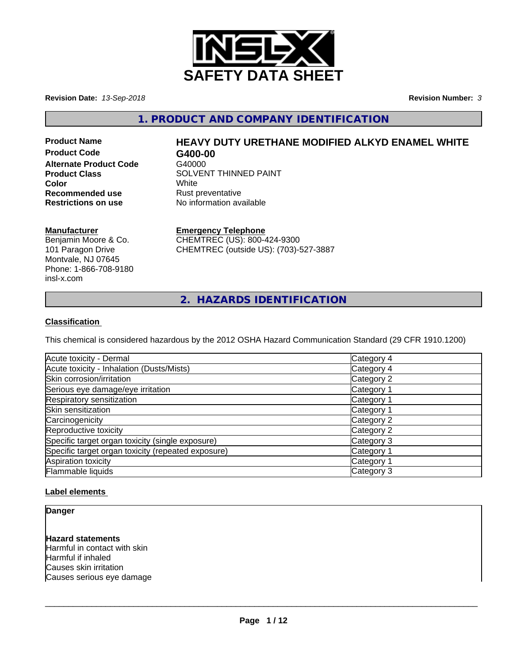

**Revision Date:** *13-Sep-2018* **Revision Number:** *3*

**1. PRODUCT AND COMPANY IDENTIFICATION**

**Product Code G400-00 Alternate Product Code** G40000 **Recommended use**<br> **Restrictions on use**<br> **Restrictions on use**<br> **Restrictions on use**<br> **Reset Algerity**<br> **Restrictions on use** 

# **Product Name HEAVY DUTY URETHANE MODIFIED ALKYD ENAMEL WHITE**

**Product Class SOLVENT THINNED PAINT Color** White White **No information available** 

#### **Manufacturer**

Benjamin Moore & Co. 101 Paragon Drive Montvale, NJ 07645 Phone: 1-866-708-9180 insl-x.com

#### **Emergency Telephone**

CHEMTREC (US): 800-424-9300 CHEMTREC (outside US): (703)-527-3887

**2. HAZARDS IDENTIFICATION**

#### **Classification**

This chemical is considered hazardous by the 2012 OSHA Hazard Communication Standard (29 CFR 1910.1200)

| Acute toxicity - Dermal                            | Category 4 |
|----------------------------------------------------|------------|
| Acute toxicity - Inhalation (Dusts/Mists)          | Category 4 |
| Skin corrosion/irritation                          | Category 2 |
| Serious eye damage/eye irritation                  | Category 1 |
| Respiratory sensitization                          | Category 1 |
| Skin sensitization                                 | Category 1 |
| Carcinogenicity                                    | Category 2 |
| Reproductive toxicity                              | Category 2 |
| Specific target organ toxicity (single exposure)   | Category 3 |
| Specific target organ toxicity (repeated exposure) | Category 1 |
| Aspiration toxicity                                | Category 1 |
| Flammable liquids                                  | Category 3 |

#### **Label elements**

**Danger**

**Hazard statements** Harmful in contact with skin Harmful if inhaled Causes skin irritation Causes serious eye damage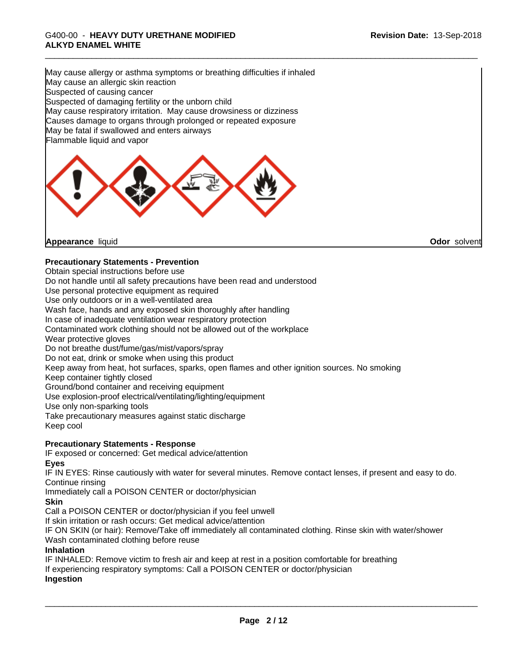# \_\_\_\_\_\_\_\_\_\_\_\_\_\_\_\_\_\_\_\_\_\_\_\_\_\_\_\_\_\_\_\_\_\_\_\_\_\_\_\_\_\_\_\_\_\_\_\_\_\_\_\_\_\_\_\_\_\_\_\_\_\_\_\_\_\_\_\_\_\_\_\_\_\_\_\_\_\_\_\_\_\_\_\_\_\_\_\_\_\_\_\_\_ G400-00 - **HEAVY DUTY URETHANE MODIFIED ALKYD ENAMEL WHITE**

May cause allergy or asthma symptoms or breathing difficulties if inhaled May cause an allergic skin reaction Suspected of causing cancer Suspected of damaging fertility or the unborn child May cause respiratory irritation. May cause drowsiness or dizziness Causes damage to organs through prolonged or repeated exposure May be fatal if swallowed and enters airways Flammable liquid and vapor



**Appearance** liquid

**Odor** solvent

#### **Precautionary Statements - Prevention**

Obtain special instructions before use

Do not handle until all safety precautions have been read and understood

Use personal protective equipment as required

Use only outdoors or in a well-ventilated area

Wash face, hands and any exposed skin thoroughly after handling

In case of inadequate ventilation wear respiratory protection

Contaminated work clothing should not be allowed out of the workplace

Wear protective gloves

Do not breathe dust/fume/gas/mist/vapors/spray

Do not eat, drink or smoke when using this product

Keep away from heat, hot surfaces, sparks, open flames and other ignition sources. No smoking

Keep container tightly closed

Ground/bond container and receiving equipment

Use explosion-proof electrical/ventilating/lighting/equipment

Use only non-sparking tools

Take precautionary measures against static discharge

Keep cool

#### **Precautionary Statements - Response**

IF exposed or concerned: Get medical advice/attention **Eyes**

IF IN EYES: Rinse cautiously with water for several minutes. Remove contact lenses, if present and easy to do. Continue rinsing

Immediately call a POISON CENTER or doctor/physician

**Skin**

Call a POISON CENTER or doctor/physician if you feel unwell

If skin irritation or rash occurs: Get medical advice/attention

IF ON SKIN (or hair): Remove/Take off immediately all contaminated clothing. Rinse skin with water/shower Wash contaminated clothing before reuse

#### **Inhalation**

IF INHALED: Remove victim to fresh air and keep at rest in a position comfortable for breathing If experiencing respiratory symptoms: Call a POISON CENTER or doctor/physician **Ingestion**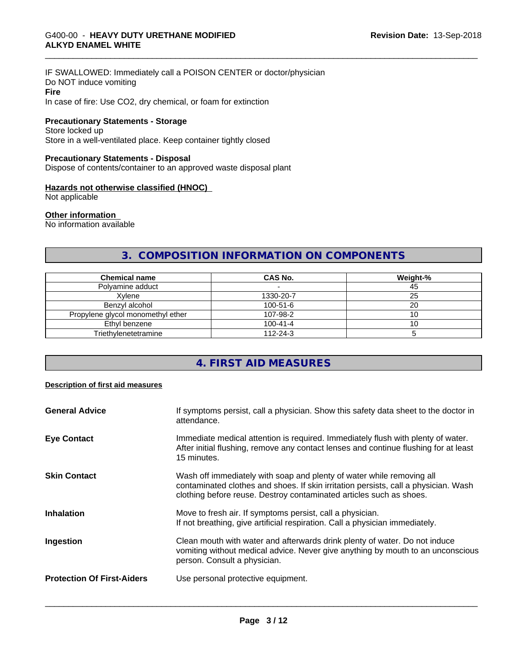#### IF SWALLOWED: Immediately call a POISON CENTER or doctor/physician Do NOT induce vomiting **Fire** In case of fire: Use CO2, dry chemical, or foam for extinction

# **Precautionary Statements - Storage**

## Store locked up Store in a well-ventilated place. Keep container tightly closed

#### **Precautionary Statements - Disposal**

Dispose of contents/container to an approved waste disposal plant

#### **Hazards not otherwise classified (HNOC)**

Not applicable

#### **Other information**

No information available

# **3. COMPOSITION INFORMATION ON COMPONENTS**

| <b>Chemical name</b>              | <b>CAS No.</b> | Weight-% |
|-----------------------------------|----------------|----------|
| Polvamine adduct                  |                | 45       |
| Xvlene                            | 1330-20-7      | 25       |
| Benzvl alcohol                    | $100 - 51 - 6$ | 20       |
| Propylene glycol monomethyl ether | 107-98-2       |          |
| Ethyl benzene                     | $100 - 41 - 4$ |          |
| Triethylenetetramine              | $112 - 24 - 3$ |          |

# **4. FIRST AID MEASURES**

#### **Description of first aid measures**

| <b>General Advice</b>             | If symptoms persist, call a physician. Show this safety data sheet to the doctor in<br>attendance.                                                                                                                                  |
|-----------------------------------|-------------------------------------------------------------------------------------------------------------------------------------------------------------------------------------------------------------------------------------|
| <b>Eye Contact</b>                | Immediate medical attention is required. Immediately flush with plenty of water.<br>After initial flushing, remove any contact lenses and continue flushing for at least<br>15 minutes.                                             |
| <b>Skin Contact</b>               | Wash off immediately with soap and plenty of water while removing all<br>contaminated clothes and shoes. If skin irritation persists, call a physician. Wash<br>clothing before reuse. Destroy contaminated articles such as shoes. |
| <b>Inhalation</b>                 | Move to fresh air. If symptoms persist, call a physician.<br>If not breathing, give artificial respiration. Call a physician immediately.                                                                                           |
| Ingestion                         | Clean mouth with water and afterwards drink plenty of water. Do not induce<br>vomiting without medical advice. Never give anything by mouth to an unconscious<br>person. Consult a physician.                                       |
| <b>Protection Of First-Aiders</b> | Use personal protective equipment.                                                                                                                                                                                                  |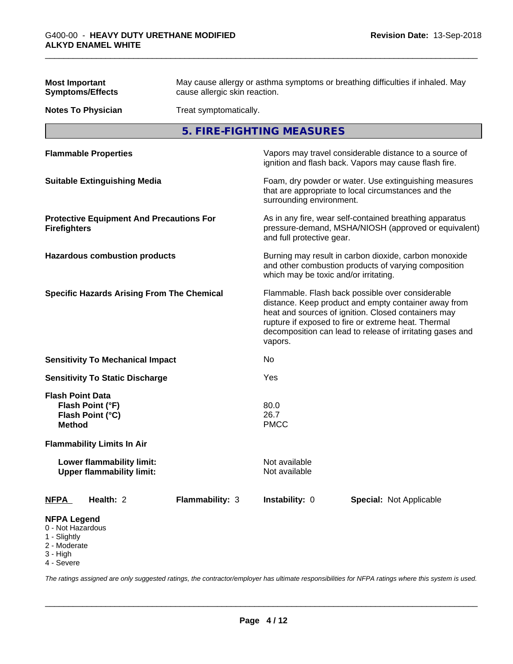| <b>Most Important</b><br><b>Symptoms/Effects</b>                                                    | May cause allergy or asthma symptoms or breathing difficulties if inhaled. May<br>cause allergic skin reaction. |                                                                                                                                              |                                                                                                                                                                                                                                                                                     |  |
|-----------------------------------------------------------------------------------------------------|-----------------------------------------------------------------------------------------------------------------|----------------------------------------------------------------------------------------------------------------------------------------------|-------------------------------------------------------------------------------------------------------------------------------------------------------------------------------------------------------------------------------------------------------------------------------------|--|
| <b>Notes To Physician</b>                                                                           |                                                                                                                 | Treat symptomatically.                                                                                                                       |                                                                                                                                                                                                                                                                                     |  |
|                                                                                                     |                                                                                                                 | 5. FIRE-FIGHTING MEASURES                                                                                                                    |                                                                                                                                                                                                                                                                                     |  |
| <b>Flammable Properties</b>                                                                         |                                                                                                                 | Vapors may travel considerable distance to a source of<br>ignition and flash back. Vapors may cause flash fire.                              |                                                                                                                                                                                                                                                                                     |  |
| <b>Suitable Extinguishing Media</b>                                                                 |                                                                                                                 |                                                                                                                                              | Foam, dry powder or water. Use extinguishing measures<br>that are appropriate to local circumstances and the<br>surrounding environment.                                                                                                                                            |  |
| <b>Protective Equipment And Precautions For</b><br><b>Firefighters</b>                              |                                                                                                                 | As in any fire, wear self-contained breathing apparatus<br>pressure-demand, MSHA/NIOSH (approved or equivalent)<br>and full protective gear. |                                                                                                                                                                                                                                                                                     |  |
| <b>Hazardous combustion products</b>                                                                |                                                                                                                 | which may be toxic and/or irritating.                                                                                                        | Burning may result in carbon dioxide, carbon monoxide<br>and other combustion products of varying composition                                                                                                                                                                       |  |
| <b>Specific Hazards Arising From The Chemical</b>                                                   |                                                                                                                 | vapors.                                                                                                                                      | Flammable. Flash back possible over considerable<br>distance. Keep product and empty container away from<br>heat and sources of ignition. Closed containers may<br>rupture if exposed to fire or extreme heat. Thermal<br>decomposition can lead to release of irritating gases and |  |
| <b>Sensitivity To Mechanical Impact</b>                                                             |                                                                                                                 | No                                                                                                                                           |                                                                                                                                                                                                                                                                                     |  |
| <b>Sensitivity To Static Discharge</b>                                                              |                                                                                                                 | Yes                                                                                                                                          |                                                                                                                                                                                                                                                                                     |  |
| <b>Flash Point Data</b><br>Flash Point (°F)<br>Flash Point (°C)<br><b>Method</b>                    |                                                                                                                 | 80.0<br>26.7<br><b>PMCC</b>                                                                                                                  |                                                                                                                                                                                                                                                                                     |  |
| <b>Flammability Limits In Air</b>                                                                   |                                                                                                                 |                                                                                                                                              |                                                                                                                                                                                                                                                                                     |  |
| <b>Lower flammability limit:</b><br><b>Upper flammability limit:</b>                                |                                                                                                                 | Not available<br>Not available                                                                                                               |                                                                                                                                                                                                                                                                                     |  |
| Health: 2<br><b>NFPA</b>                                                                            | Flammability: 3                                                                                                 | Instability: 0                                                                                                                               | Special: Not Applicable                                                                                                                                                                                                                                                             |  |
| <b>NFPA Legend</b><br>0 - Not Hazardous<br>1 - Slightly<br>2 - Moderate<br>$3 - High$<br>4 - Severe |                                                                                                                 |                                                                                                                                              |                                                                                                                                                                                                                                                                                     |  |

*The ratings assigned are only suggested ratings, the contractor/employer has ultimate responsibilities for NFPA ratings where this system is used.*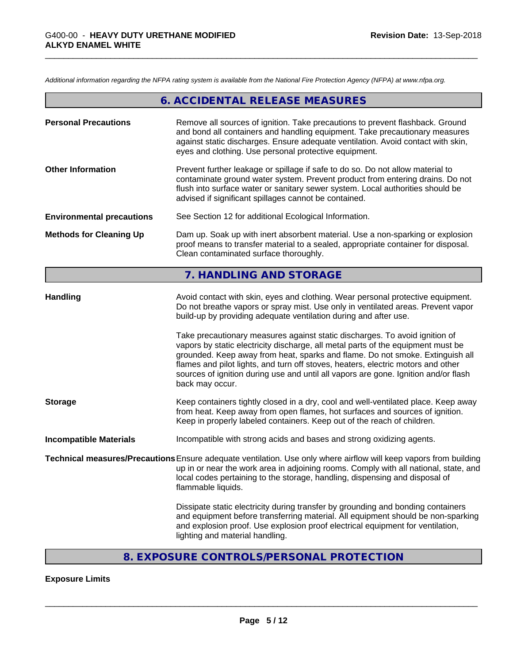*Additional information regarding the NFPA rating system is available from the National Fire Protection Agency (NFPA) at www.nfpa.org.*

|                                  | 6. ACCIDENTAL RELEASE MEASURES                                                                                                                                                                                                                                                                                                                                                                             |  |
|----------------------------------|------------------------------------------------------------------------------------------------------------------------------------------------------------------------------------------------------------------------------------------------------------------------------------------------------------------------------------------------------------------------------------------------------------|--|
| <b>Personal Precautions</b>      | Remove all sources of ignition. Take precautions to prevent flashback. Ground<br>and bond all containers and handling equipment. Take precautionary measures<br>against static discharges. Ensure adequate ventilation. Avoid contact with skin,<br>eyes and clothing. Use personal protective equipment.                                                                                                  |  |
| <b>Other Information</b>         | Prevent further leakage or spillage if safe to do so. Do not allow material to<br>contaminate ground water system. Prevent product from entering drains. Do not<br>flush into surface water or sanitary sewer system. Local authorities should be<br>advised if significant spillages cannot be contained.                                                                                                 |  |
| <b>Environmental precautions</b> | See Section 12 for additional Ecological Information.                                                                                                                                                                                                                                                                                                                                                      |  |
| <b>Methods for Cleaning Up</b>   | Dam up. Soak up with inert absorbent material. Use a non-sparking or explosion<br>proof means to transfer material to a sealed, appropriate container for disposal.<br>Clean contaminated surface thoroughly.                                                                                                                                                                                              |  |
|                                  | 7. HANDLING AND STORAGE                                                                                                                                                                                                                                                                                                                                                                                    |  |
| <b>Handling</b>                  | Avoid contact with skin, eyes and clothing. Wear personal protective equipment.<br>Do not breathe vapors or spray mist. Use only in ventilated areas. Prevent vapor<br>build-up by providing adequate ventilation during and after use.<br>Take precautionary measures against static discharges. To avoid ignition of<br>vapors by static electricity discharge, all metal parts of the equipment must be |  |
|                                  | grounded. Keep away from heat, sparks and flame. Do not smoke. Extinguish all<br>flames and pilot lights, and turn off stoves, heaters, electric motors and other<br>sources of ignition during use and until all vapors are gone. Ignition and/or flash<br>back may occur.                                                                                                                                |  |
| <b>Storage</b>                   | Keep containers tightly closed in a dry, cool and well-ventilated place. Keep away<br>from heat. Keep away from open flames, hot surfaces and sources of ignition.<br>Keep in properly labeled containers. Keep out of the reach of children.                                                                                                                                                              |  |
| <b>Incompatible Materials</b>    | Incompatible with strong acids and bases and strong oxidizing agents.                                                                                                                                                                                                                                                                                                                                      |  |
|                                  | Technical measures/Precautions Ensure adequate ventilation. Use only where airflow will keep vapors from building<br>up in or near the work area in adjoining rooms. Comply with all national, state, and<br>local codes pertaining to the storage, handling, dispensing and disposal of<br>flammable liquids.                                                                                             |  |
|                                  | Dissipate static electricity during transfer by grounding and bonding containers<br>and equipment before transferring material. All equipment should be non-sparking<br>and explosion proof. Use explosion proof electrical equipment for ventilation,<br>lighting and material handling.                                                                                                                  |  |
|                                  |                                                                                                                                                                                                                                                                                                                                                                                                            |  |

# **8. EXPOSURE CONTROLS/PERSONAL PROTECTION**

# **Exposure Limits**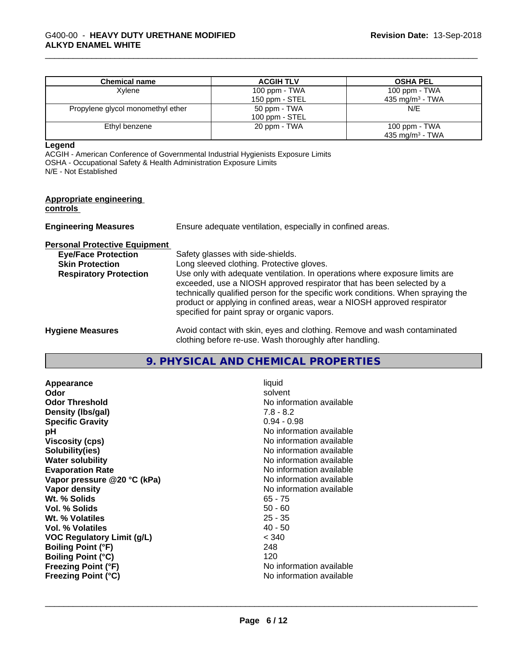| <b>Chemical name</b>              | <b>ACGIH TLV</b> | <b>OSHA PEL</b>    |
|-----------------------------------|------------------|--------------------|
| Xvlene                            | 100 ppm - TWA    | 100 ppm - TWA      |
|                                   | 150 ppm - STEL   | 435 mg/m $3$ - TWA |
| Propylene glycol monomethyl ether | 50 ppm - TWA     | N/E                |
|                                   | $100$ ppm - STEL |                    |
| Ethyl benzene                     | 20 ppm - TWA     | 100 ppm - TWA      |
|                                   |                  | 435 mg/m $3$ - TWA |

#### **Legend**

ACGIH - American Conference of Governmental Industrial Hygienists Exposure Limits OSHA - Occupational Safety & Health Administration Exposure Limits N/E - Not Established

#### **Appropriate engineering controls**

| <b>Engineering Measures</b>                                                                                                   | Ensure adequate ventilation, especially in confined areas.                                                                                                                                                                                                                                                                                                                                                                                            |
|-------------------------------------------------------------------------------------------------------------------------------|-------------------------------------------------------------------------------------------------------------------------------------------------------------------------------------------------------------------------------------------------------------------------------------------------------------------------------------------------------------------------------------------------------------------------------------------------------|
| <b>Personal Protective Equipment</b><br><b>Eye/Face Protection</b><br><b>Skin Protection</b><br><b>Respiratory Protection</b> | Safety glasses with side-shields.<br>Long sleeved clothing. Protective gloves.<br>Use only with adequate ventilation. In operations where exposure limits are<br>exceeded, use a NIOSH approved respirator that has been selected by a<br>technically qualified person for the specific work conditions. When spraying the<br>product or applying in confined areas, wear a NIOSH approved respirator<br>specified for paint spray or organic vapors. |
| <b>Hygiene Measures</b>                                                                                                       | Avoid contact with skin, eyes and clothing. Remove and wash contaminated<br>clothing before re-use. Wash thoroughly after handling.                                                                                                                                                                                                                                                                                                                   |

#### **9. PHYSICAL AND CHEMICAL PROPERTIES**

**Appearance** liquid<br> **Appearance** liquid<br> **Odor** solver **Odor** solvent **Odor Threshold No information available No information available Density (lbs/gal)** 7.8 - 8.2<br> **Specific Gravity** 6.94 - 0.98 **Specific Gravity pH** No information available **Viscosity (cps)** No information available **Solubility(ies)** No information available **Water solubility**<br> **Evaporation Rate**<br> **Evaporation Rate**<br> **Evaporation Rate Vapor** pressure @20 °C (kPa) **Vapor density**<br> **We Solid With the View Contract Contract Contract Contract Contract Contract Contract Contract Contract Contract Contract Contract Contract Contract Contract Contract Contract Contract Contract Contract C Wt. % Solids** 65 - 75<br> **Vol. % Solids** 65 - 76 **Vol. % Solids Wt. % Volatiles** 25 - 35 **Vol. % Volatiles** 40 - 50 **VOC Regulatory Limit (g/L)** < 340 **Boiling Point (°F)** 248 **Boiling Point (°C)** 120<br> **Freezing Point (°F)** No i **Freezing Point (°C)** No information available

No information available<br>No information available **Freezing Point (°F)** No information available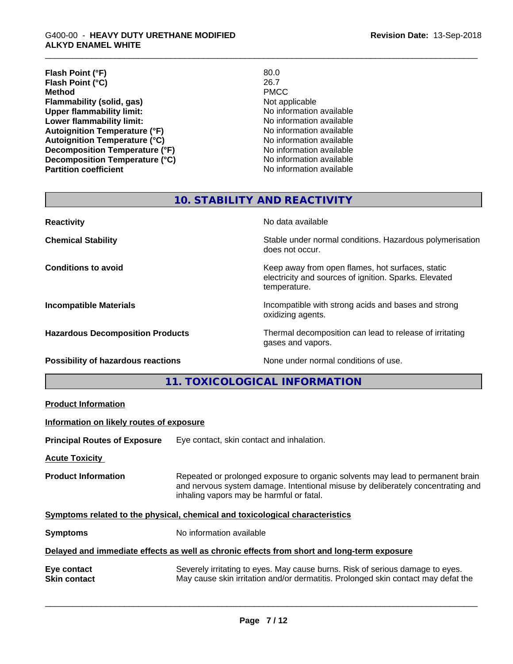| Flash Point (°F)                      | 80.0                     |
|---------------------------------------|--------------------------|
| Flash Point (°C)                      | 26.7                     |
| <b>Method</b>                         | <b>PMCC</b>              |
| Flammability (solid, gas)             | Not applicable           |
| <b>Upper flammability limit:</b>      | No information available |
| Lower flammability limit:             | No information available |
| <b>Autoignition Temperature (°F)</b>  | No information available |
| <b>Autoignition Temperature (°C)</b>  | No information available |
| <b>Decomposition Temperature (°F)</b> | No information available |
| Decomposition Temperature (°C)        | No information available |
| <b>Partition coefficient</b>          | No information available |

# **10. STABILITY AND REACTIVITY**

| <b>Reactivity</b>                       | No data available                                                                                                         |
|-----------------------------------------|---------------------------------------------------------------------------------------------------------------------------|
| <b>Chemical Stability</b>               | Stable under normal conditions. Hazardous polymerisation<br>does not occur.                                               |
| <b>Conditions to avoid</b>              | Keep away from open flames, hot surfaces, static<br>electricity and sources of ignition. Sparks. Elevated<br>temperature. |
| <b>Incompatible Materials</b>           | Incompatible with strong acids and bases and strong<br>oxidizing agents.                                                  |
| <b>Hazardous Decomposition Products</b> | Thermal decomposition can lead to release of irritating<br>gases and vapors.                                              |
| Possibility of hazardous reactions      | None under normal conditions of use.                                                                                      |

# **11. TOXICOLOGICAL INFORMATION**

| <b>Product Information</b>               |                                                                                                                                                                                                               |  |
|------------------------------------------|---------------------------------------------------------------------------------------------------------------------------------------------------------------------------------------------------------------|--|
| Information on likely routes of exposure |                                                                                                                                                                                                               |  |
| <b>Principal Routes of Exposure</b>      | Eye contact, skin contact and inhalation.                                                                                                                                                                     |  |
| <b>Acute Toxicity</b>                    |                                                                                                                                                                                                               |  |
| <b>Product Information</b>               | Repeated or prolonged exposure to organic solvents may lead to permanent brain<br>and nervous system damage. Intentional misuse by deliberately concentrating and<br>inhaling vapors may be harmful or fatal. |  |
|                                          | Symptoms related to the physical, chemical and toxicological characteristics                                                                                                                                  |  |
| <b>Symptoms</b>                          | No information available                                                                                                                                                                                      |  |
|                                          | Delayed and immediate effects as well as chronic effects from short and long-term exposure                                                                                                                    |  |
| Eye contact<br><b>Skin contact</b>       | Severely irritating to eyes. May cause burns. Risk of serious damage to eyes.<br>May cause skin irritation and/or dermatitis. Prolonged skin contact may defat the                                            |  |
|                                          |                                                                                                                                                                                                               |  |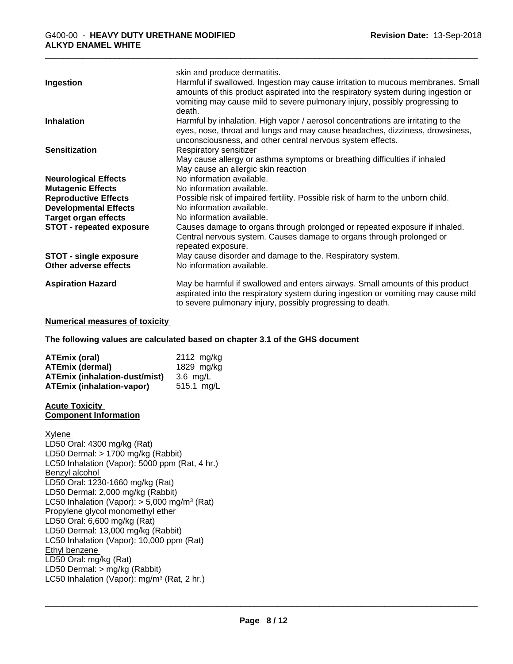|                                 | skin and produce dermatitis.                                                                                                                                         |
|---------------------------------|----------------------------------------------------------------------------------------------------------------------------------------------------------------------|
| Ingestion                       | Harmful if swallowed. Ingestion may cause irritation to mucous membranes. Small<br>amounts of this product aspirated into the respiratory system during ingestion or |
|                                 | vomiting may cause mild to severe pulmonary injury, possibly progressing to                                                                                          |
|                                 | death.                                                                                                                                                               |
| <b>Inhalation</b>               | Harmful by inhalation. High vapor / aerosol concentrations are irritating to the                                                                                     |
|                                 | eyes, nose, throat and lungs and may cause headaches, dizziness, drowsiness,                                                                                         |
|                                 | unconsciousness, and other central nervous system effects.                                                                                                           |
| <b>Sensitization</b>            | Respiratory sensitizer                                                                                                                                               |
|                                 | May cause allergy or asthma symptoms or breathing difficulties if inhaled                                                                                            |
|                                 | May cause an allergic skin reaction                                                                                                                                  |
| <b>Neurological Effects</b>     | No information available.                                                                                                                                            |
| <b>Mutagenic Effects</b>        | No information available.                                                                                                                                            |
| <b>Reproductive Effects</b>     | Possible risk of impaired fertility. Possible risk of harm to the unborn child.                                                                                      |
| <b>Developmental Effects</b>    | No information available.                                                                                                                                            |
| <b>Target organ effects</b>     | No information available.                                                                                                                                            |
| <b>STOT - repeated exposure</b> | Causes damage to organs through prolonged or repeated exposure if inhaled.                                                                                           |
|                                 | Central nervous system. Causes damage to organs through prolonged or                                                                                                 |
|                                 | repeated exposure.                                                                                                                                                   |
| <b>STOT - single exposure</b>   | May cause disorder and damage to the. Respiratory system.                                                                                                            |
| Other adverse effects           | No information available.                                                                                                                                            |
| <b>Aspiration Hazard</b>        | May be harmful if swallowed and enters airways. Small amounts of this product                                                                                        |
|                                 | aspirated into the respiratory system during ingestion or vomiting may cause mild                                                                                    |
|                                 | to severe pulmonary injury, possibly progressing to death.                                                                                                           |

#### **Numerical measures of toxicity**

**The following values are calculated based on chapter 3.1 of the GHS document**

| <b>ATEmix (oral)</b>                 | $2112 \text{ mg/kg}$ |
|--------------------------------------|----------------------|
| ATEmix (dermal)                      | 1829 mg/kg           |
| <b>ATEmix (inhalation-dust/mist)</b> | 3.6 ma/L             |
| <b>ATEmix (inhalation-vapor)</b>     | $515.1 \text{ ma/L}$ |

#### **Acute Toxicity Component Information**

Xylene LD50 Oral: 4300 mg/kg (Rat) LD50 Dermal: > 1700 mg/kg (Rabbit) LC50 Inhalation (Vapor): 5000 ppm (Rat, 4 hr.) Benzyl alcohol LD50 Oral: 1230-1660 mg/kg (Rat) LD50 Dermal: 2,000 mg/kg (Rabbit) LC50 Inhalation (Vapor): > 5,000 mg/m<sup>3</sup> (Rat) Propylene glycol monomethyl ether LD50 Oral: 6,600 mg/kg (Rat) LD50 Dermal: 13,000 mg/kg (Rabbit) LC50 Inhalation (Vapor): 10,000 ppm (Rat) Ethyl benzene LD50 Oral: mg/kg (Rat) LD50 Dermal: > mg/kg (Rabbit) LC50 Inhalation (Vapor): mg/m<sup>3</sup> (Rat, 2 hr.)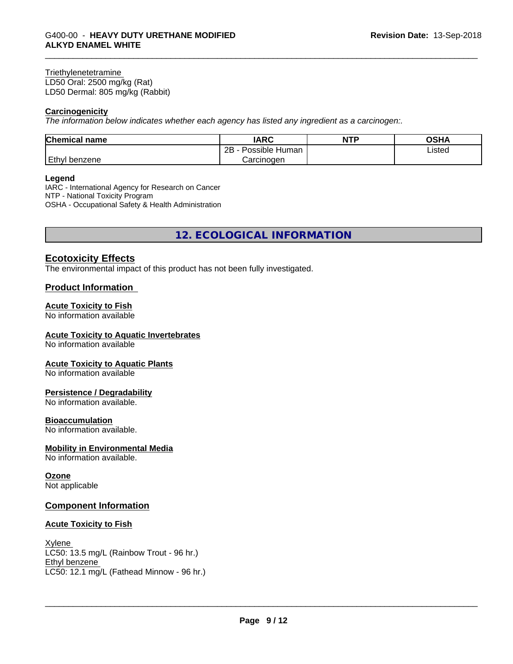#### **Triethylenetetramine**

LD50 Oral: 2500 mg/kg (Rat) LD50 Dermal: 805 mg/kg (Rabbit)

#### **Carcinogenicity**

*The information below indicateswhether each agency has listed any ingredient as a carcinogen:.*

| <b>Chemical name</b> | <b>IARC</b>          | <b>NTP</b> | OSHA   |
|----------------------|----------------------|------------|--------|
|                      | Possible Human<br>2B |            | Listed |
| <b>Ethyl benzene</b> | Carcinoɑen           |            |        |

#### **Legend**

IARC - International Agency for Research on Cancer NTP - National Toxicity Program OSHA - Occupational Safety & Health Administration

**12. ECOLOGICAL INFORMATION**

#### **Ecotoxicity Effects**

The environmental impact of this product has not been fully investigated.

#### **Product Information**

#### **Acute Toxicity to Fish**

No information available

#### **Acute Toxicity to Aquatic Invertebrates**

No information available

#### **Acute Toxicity to Aquatic Plants**

No information available

#### **Persistence / Degradability**

No information available.

#### **Bioaccumulation**

No information available.

#### **Mobility in Environmental Media**

No information available.

#### **Ozone**

Not applicable

#### **Component Information**

#### **Acute Toxicity to Fish**

## Xylene

LC50: 13.5 mg/L (Rainbow Trout - 96 hr.) Ethyl benzene LC50: 12.1 mg/L (Fathead Minnow - 96 hr.)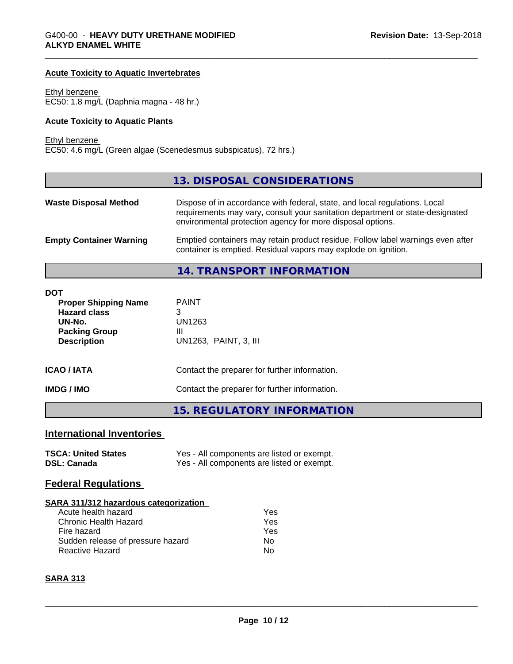#### **Acute Toxicity to Aquatic Invertebrates**

Ethyl benzene EC50: 1.8 mg/L (Daphnia magna - 48 hr.)

#### **Acute Toxicity to Aquatic Plants**

Ethyl benzene

EC50: 4.6 mg/L (Green algae (Scenedesmus subspicatus), 72 hrs.)

|                                | 13. DISPOSAL CONSIDERATIONS                                                                                                                                                                                               |
|--------------------------------|---------------------------------------------------------------------------------------------------------------------------------------------------------------------------------------------------------------------------|
| <b>Waste Disposal Method</b>   | Dispose of in accordance with federal, state, and local regulations. Local<br>requirements may vary, consult your sanitation department or state-designated<br>environmental protection agency for more disposal options. |
| <b>Empty Container Warning</b> | Emptied containers may retain product residue. Follow label warnings even after<br>container is emptied. Residual vapors may explode on ignition.                                                                         |
|                                | 14. TRANSPORT INFORMATION                                                                                                                                                                                                 |

| DOT<br><b>Proper Shipping Name</b><br><b>Hazard class</b><br>UN-No. | <b>PAINT</b><br>3<br>UN1263                   |  |
|---------------------------------------------------------------------|-----------------------------------------------|--|
| <b>Packing Group</b><br><b>Description</b>                          | Ш<br>UN1263, PAINT, 3, III                    |  |
| ICAO / IATA<br>Contact the preparer for further information.        |                                               |  |
| IMDG / IMO                                                          | Contact the preparer for further information. |  |
|                                                                     | 15. REGULATORY INFORMATION                    |  |

# **International Inventories**

| <b>TSCA: United States</b> | Yes - All components are listed or exempt. |
|----------------------------|--------------------------------------------|
| <b>DSL: Canada</b>         | Yes - All components are listed or exempt. |

#### **Federal Regulations**

#### **SARA 311/312 hazardous categorization**

| Acute health hazard               | Yes |
|-----------------------------------|-----|
| Chronic Health Hazard             | Yes |
| Fire hazard                       | Yes |
| Sudden release of pressure hazard | Nο  |
| Reactive Hazard                   | N٥  |

#### **SARA 313**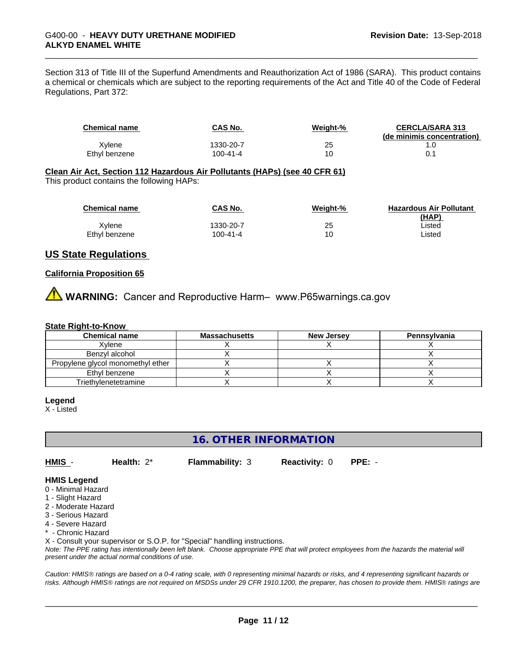Section 313 of Title III of the Superfund Amendments and Reauthorization Act of 1986 (SARA). This product contains a chemical or chemicals which are subject to the reporting requirements of the Act and Title 40 of the Code of Federal Regulations, Part 372:

| <b>Chemical name</b> | <b>CAS No.</b> | Weight-% | <b>CERCLA/SARA 313</b>     |
|----------------------|----------------|----------|----------------------------|
|                      |                |          | (de minimis concentration) |
| Xvlene               | 1330-20-7      | 25       |                            |
| Ethyl benzene        | 100-41-4       |          |                            |

#### **Clean Air Act,Section 112 Hazardous Air Pollutants (HAPs) (see 40 CFR 61)**

This product contains the following HAPs:

| <b>Chemical name</b> | CAS No.   | Weight-% | <b>Hazardous Air Pollutant</b><br>(HAP) |
|----------------------|-----------|----------|-----------------------------------------|
| Xylene               | 1330-20-7 | 25       | ∟isted                                  |
| Ethyl benzene        | 100-41-4  | 10       | ∟isted                                  |

#### **US State Regulations**

#### **California Proposition 65**

**AVIMARNING:** Cancer and Reproductive Harm– www.P65warnings.ca.gov

#### **State Right-to-Know**

| <b>Chemical name</b>              | <b>Massachusetts</b> | <b>New Jersey</b> | Pennsylvania |
|-----------------------------------|----------------------|-------------------|--------------|
| Xvlene                            |                      |                   |              |
| Benzyl alcohol                    |                      |                   |              |
| Propylene glycol monomethyl ether |                      |                   |              |
| Ethyl benzene                     |                      |                   |              |
| Triethylenetetramine              |                      |                   |              |

#### **Legend**

X - Listed

# **16. OTHER INFORMATION**

**HMIS** - **Health:** 2\* **Flammability:** 3 **Reactivity:** 0 **PPE:** -

#### **HMIS Legend**

- 0 Minimal Hazard
- 1 Slight Hazard
- 2 Moderate Hazard
- 3 Serious Hazard
- 4 Severe Hazard
- \* Chronic Hazard

X - Consult your supervisor or S.O.P. for "Special" handling instructions.

*Note: The PPE rating has intentionally been left blank. Choose appropriate PPE that will protect employees from the hazards the material will present under the actual normal conditions of use.*

*Caution: HMISÒ ratings are based on a 0-4 rating scale, with 0 representing minimal hazards or risks, and 4 representing significant hazards or risks. Although HMISÒ ratings are not required on MSDSs under 29 CFR 1910.1200, the preparer, has chosen to provide them. HMISÒ ratings are*